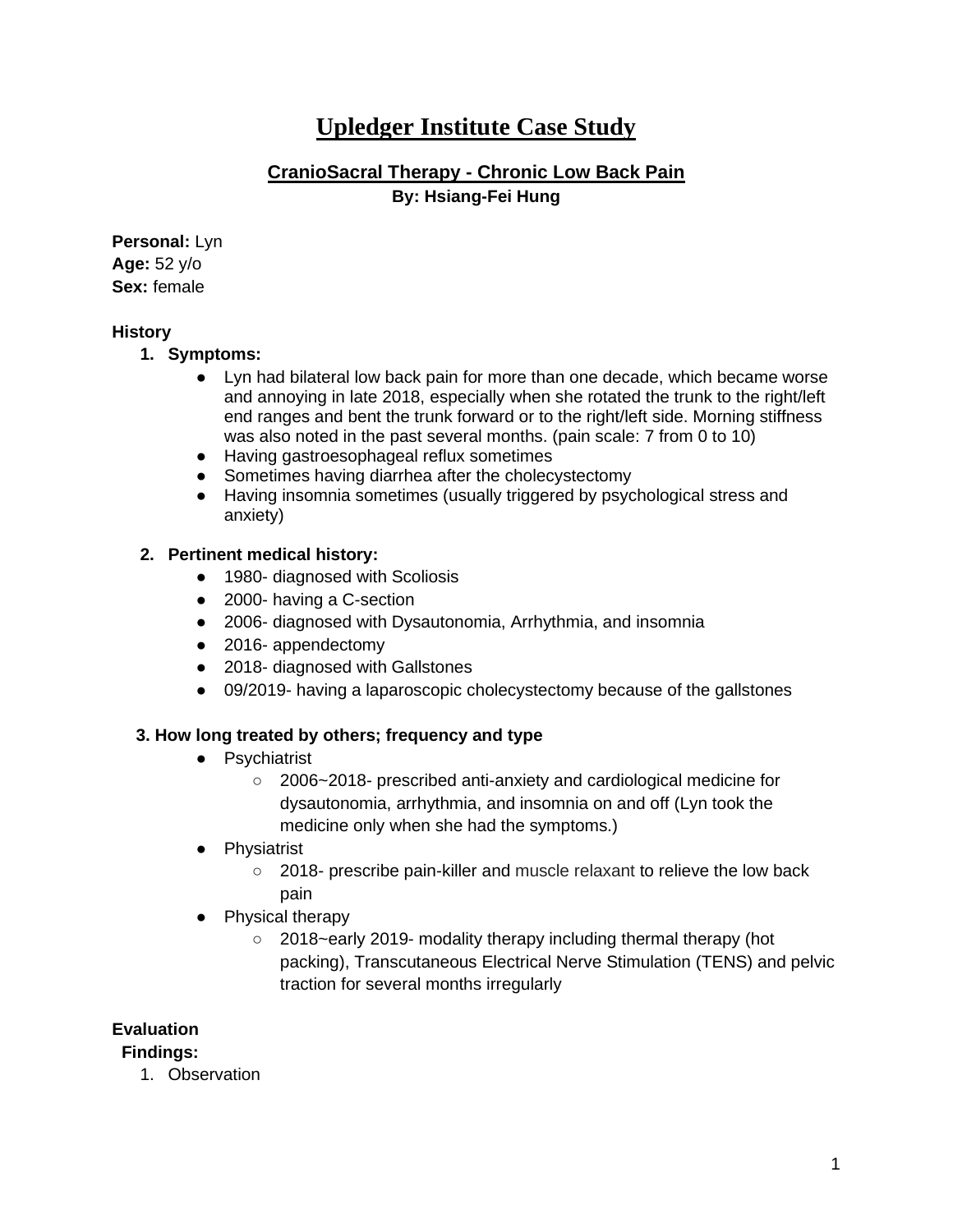# **Upledger Institute Case Study**

## **CranioSacral Therapy - Chronic Low Back Pain By: Hsiang-Fei Hung**

**Personal:** Lyn **Age:** 52 y/o **Sex:** female

### **History**

### **1. Symptoms:**

- Lyn had bilateral low back pain for more than one decade, which became worse and annoying in late 2018, especially when she rotated the trunk to the right/left end ranges and bent the trunk forward or to the right/left side. Morning stiffness was also noted in the past several months. (pain scale: 7 from 0 to 10)
- Having gastroesophageal reflux sometimes
- Sometimes having diarrhea after the cholecystectomy
- Having insomnia sometimes (usually triggered by psychological stress and anxiety)

### **2. Pertinent medical history:**

- 1980- diagnosed with Scoliosis
- 2000- having a C-section
- 2006- diagnosed with Dysautonomia, Arrhythmia, and insomnia
- 2016- appendectomy
- 2018- diagnosed with Gallstones
- 09/2019- having a laparoscopic cholecystectomy because of the gallstones

### **3. How long treated by others; frequency and type**

- Psychiatrist
	- 2006~2018- prescribed anti-anxiety and cardiological medicine for dysautonomia, arrhythmia, and insomnia on and off (Lyn took the medicine only when she had the symptoms.)
- Physiatrist
	- 2018- prescribe pain-killer and muscle relaxant to relieve the low back pain
- Physical therapy
	- 2018~early 2019- modality therapy including thermal therapy (hot packing), Transcutaneous Electrical Nerve Stimulation (TENS) and pelvic traction for several months irregularly

### **Evaluation**

### **Findings:**

1. Observation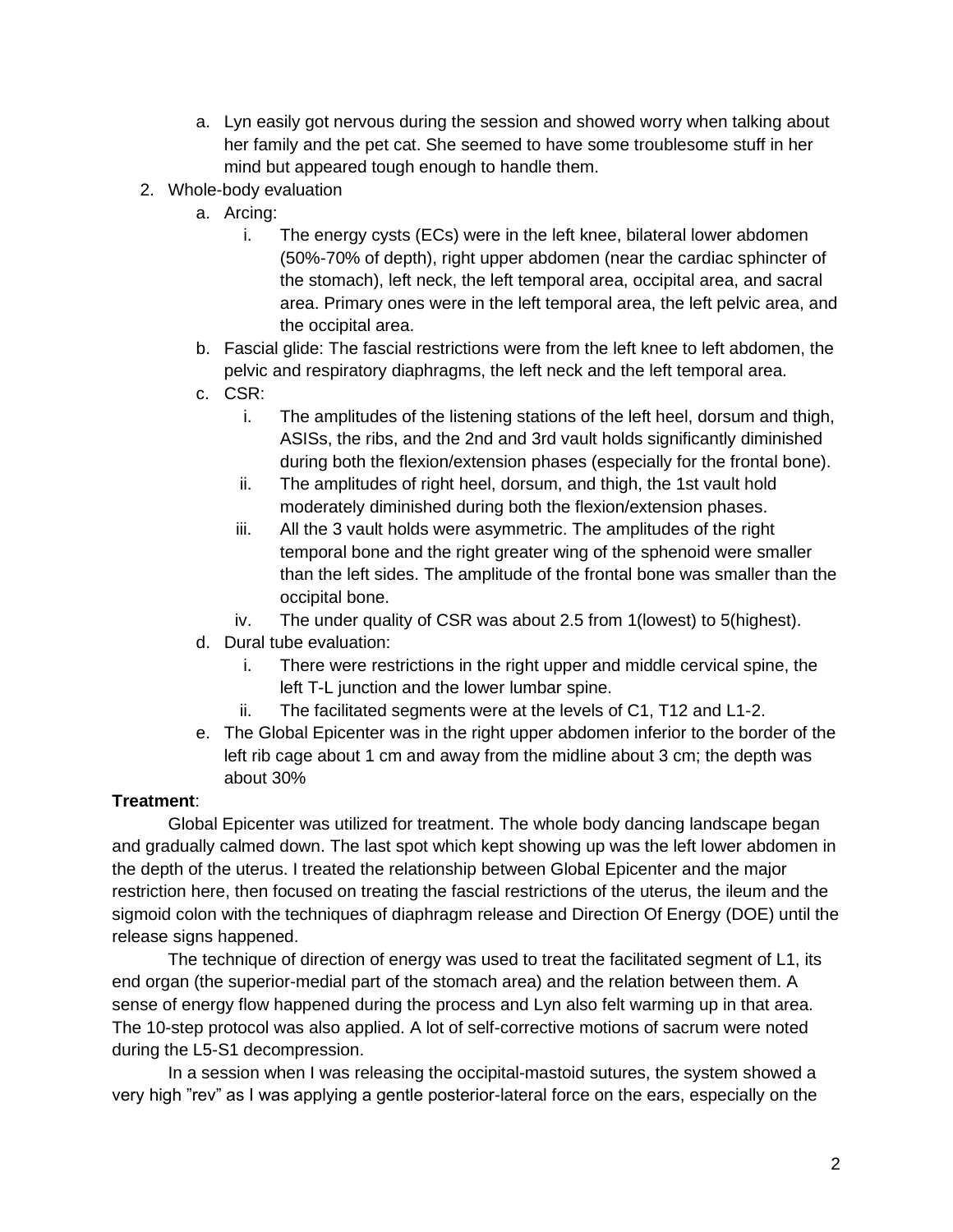- a. Lyn easily got nervous during the session and showed worry when talking about her family and the pet cat. She seemed to have some troublesome stuff in her mind but appeared tough enough to handle them.
- 2. Whole-body evaluation
	- a. Arcing:
		- i. The energy cysts (ECs) were in the left knee, bilateral lower abdomen (50%-70% of depth), right upper abdomen (near the cardiac sphincter of the stomach), left neck, the left temporal area, occipital area, and sacral area. Primary ones were in the left temporal area, the left pelvic area, and the occipital area.
	- b. Fascial glide: The fascial restrictions were from the left knee to left abdomen, the pelvic and respiratory diaphragms, the left neck and the left temporal area.
	- c. CSR:
		- i. The amplitudes of the listening stations of the left heel, dorsum and thigh, ASISs, the ribs, and the 2nd and 3rd vault holds significantly diminished during both the flexion/extension phases (especially for the frontal bone).
		- ii. The amplitudes of right heel, dorsum, and thigh, the 1st vault hold moderately diminished during both the flexion/extension phases.
		- iii. All the 3 vault holds were asymmetric. The amplitudes of the right temporal bone and the right greater wing of the sphenoid were smaller than the left sides. The amplitude of the frontal bone was smaller than the occipital bone.
		- iv. The under quality of CSR was about 2.5 from 1(lowest) to 5(highest).
	- d. Dural tube evaluation:
		- i. There were restrictions in the right upper and middle cervical spine, the left T-L junction and the lower lumbar spine.
		- ii. The facilitated segments were at the levels of C1, T12 and L1-2.
	- e. The Global Epicenter was in the right upper abdomen inferior to the border of the left rib cage about 1 cm and away from the midline about 3 cm; the depth was about 30%

### **Treatment**:

Global Epicenter was utilized for treatment. The whole body dancing landscape began and gradually calmed down. The last spot which kept showing up was the left lower abdomen in the depth of the uterus. I treated the relationship between Global Epicenter and the major restriction here, then focused on treating the fascial restrictions of the uterus, the ileum and the sigmoid colon with the techniques of diaphragm release and Direction Of Energy (DOE) until the release signs happened.

The technique of direction of energy was used to treat the facilitated segment of L1, its end organ (the superior-medial part of the stomach area) and the relation between them. A sense of energy flow happened during the process and Lyn also felt warming up in that area. The 10-step protocol was also applied. A lot of self-corrective motions of sacrum were noted during the L5-S1 decompression.

In a session when I was releasing the occipital-mastoid sutures, the system showed a very high "rev" as I was applying a gentle posterior-lateral force on the ears, especially on the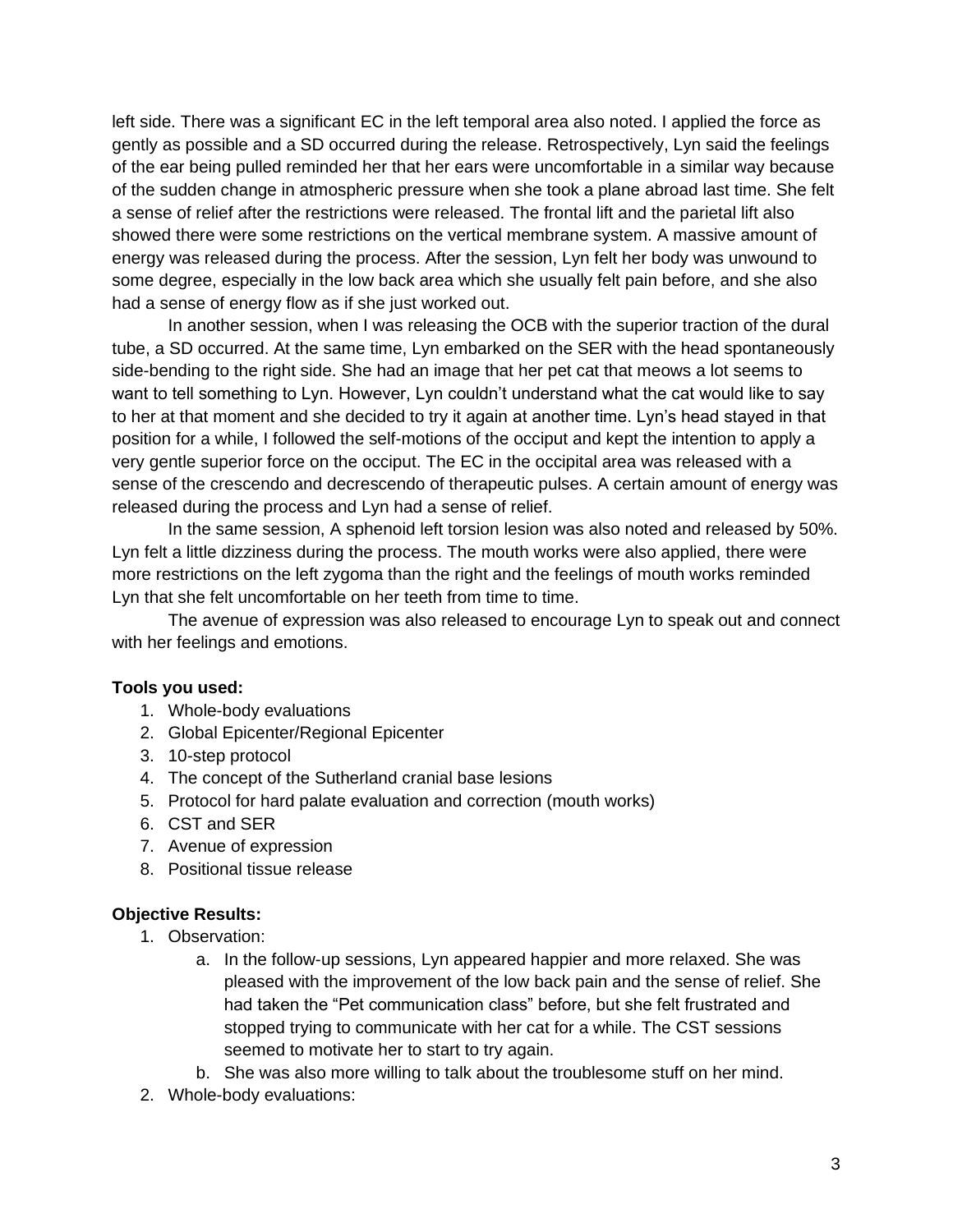left side. There was a significant EC in the left temporal area also noted. I applied the force as gently as possible and a SD occurred during the release. Retrospectively, Lyn said the feelings of the ear being pulled reminded her that her ears were uncomfortable in a similar way because of the sudden change in atmospheric pressure when she took a plane abroad last time. She felt a sense of relief after the restrictions were released. The frontal lift and the parietal lift also showed there were some restrictions on the vertical membrane system. A massive amount of energy was released during the process. After the session, Lyn felt her body was unwound to some degree, especially in the low back area which she usually felt pain before, and she also had a sense of energy flow as if she just worked out.

In another session, when I was releasing the OCB with the superior traction of the dural tube, a SD occurred. At the same time, Lyn embarked on the SER with the head spontaneously side-bending to the right side. She had an image that her pet cat that meows a lot seems to want to tell something to Lyn. However, Lyn couldn't understand what the cat would like to say to her at that moment and she decided to try it again at another time. Lyn's head stayed in that position for a while, I followed the self-motions of the occiput and kept the intention to apply a very gentle superior force on the occiput. The EC in the occipital area was released with a sense of the crescendo and decrescendo of therapeutic pulses. A certain amount of energy was released during the process and Lyn had a sense of relief.

In the same session, A sphenoid left torsion lesion was also noted and released by 50%. Lyn felt a little dizziness during the process. The mouth works were also applied, there were more restrictions on the left zygoma than the right and the feelings of mouth works reminded Lyn that she felt uncomfortable on her teeth from time to time.

The avenue of expression was also released to encourage Lyn to speak out and connect with her feelings and emotions.

### **Tools you used:**

- 1. Whole-body evaluations
- 2. Global Epicenter/Regional Epicenter
- 3. 10-step protocol
- 4. The concept of the Sutherland cranial base lesions
- 5. Protocol for hard palate evaluation and correction (mouth works)
- 6. CST and SER
- 7. Avenue of expression
- 8. Positional tissue release

#### **Objective Results:**

- 1. Observation:
	- a. In the follow-up sessions, Lyn appeared happier and more relaxed. She was pleased with the improvement of the low back pain and the sense of relief. She had taken the "Pet communication class" before, but she felt frustrated and stopped trying to communicate with her cat for a while. The CST sessions seemed to motivate her to start to try again.
	- b. She was also more willing to talk about the troublesome stuff on her mind.
- 2. Whole-body evaluations: